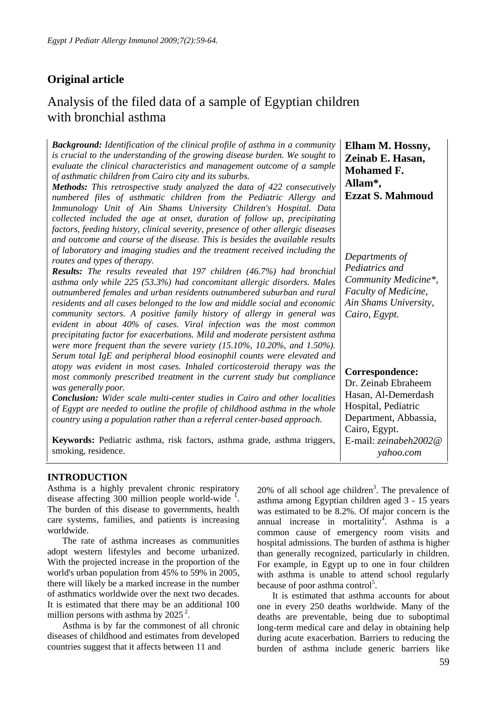# **Original article**

# Analysis of the filed data of a sample of Egyptian children with bronchial asthma

*Background: Identification of the clinical profile of asthma in a community is crucial to the understanding of the growing disease burden. We sought to evaluate the clinical characteristics and management outcome of a sample of asthmatic children from Cairo city and its suburbs.* 

*Methods: This retrospective study analyzed the data of 422 consecutively numbered files of asthmatic children from the Pediatric Allergy and Immunology Unit of Ain Shams University Children's Hospital. Data collected included the age at onset, duration of follow up, precipitating factors, feeding history, clinical severity, presence of other allergic diseases and outcome and course of the disease. This is besides the available results of laboratory and imaging studies and the treatment received including the routes and types of therapy.* 

*Results: The results revealed that 197 children (46.7%) had bronchial asthma only while 225 (53.3%) had concomitant allergic disorders. Males outnumbered females and urban residents outnumbered suburban and rural residents and all cases belonged to the low and middle social and economic community sectors. A positive family history of allergy in general was evident in about 40% of cases. Viral infection was the most common precipitating factor for exacerbations. Mild and moderate persistent asthma were more frequent than the severe variety (15.10%, 10.20%, and 1.50%). Serum total IgE and peripheral blood eosinophil counts were elevated and atopy was evident in most cases. Inhaled corticosteroid therapy was the most commonly prescribed treatment in the current study but compliance was generally poor.* 

*Conclusion: Wider scale multi-center studies in Cairo and other localities of Egypt are needed to outline the profile of childhood asthma in the whole country using a population rather than a referral center-based approach.* 

**Keywords:** Pediatric asthma, risk factors, asthma grade, asthma triggers, smoking, residence.

**Ezzat S. Mahmoud**  *Departments of Pediatrics and Community Medicine\*, Faculty of Medicine, Ain Shams University, Cairo, Egypt.* 

**Elham M. Hossny, Zeinab E. Hasan, Mohamed F.** 

**Allam\*,** 

**Correspondence:** 

Dr. Zeinab Ebraheem Hasan, Al-Demerdash Hospital, Pediatric Department, Abbassia, Cairo, Egypt. E-mail: *zeinabeh2002@ yahoo.com*

#### **INTRODUCTION**

Asthma is a highly prevalent chronic respiratory disease affecting  $300$  million people world-wide <sup>1</sup>. The burden of this disease to governments, health care systems, families, and patients is increasing worldwide.

The rate of asthma increases as communities adopt western lifestyles and become urbanized. With the projected increase in the proportion of the world's urban population from 45% to 59% in 2005, there will likely be a marked increase in the number of asthmatics worldwide over the next two decades. It is estimated that there may be an additional 100 million persons with asthma by  $2025^2$ .

Asthma is by far the commonest of all chronic diseases of childhood and estimates from developed countries suggest that it affects between 11 and

 $20\%$  of all school age children<sup>3</sup>. The prevalence of asthma among Egyptian children aged 3 - 15 years was estimated to be 8.2%. Of major concern is the annual increase in mortalitity<sup>4</sup>. Asthma is a common cause of emergency room visits and hospital admissions. The burden of asthma is higher than generally recognized, particularly in children. For example, in Egypt up to one in four children with asthma is unable to attend school regularly because of poor asthma control<sup>5</sup>.

It is estimated that asthma accounts for about one in every 250 deaths worldwide. Many of the deaths are preventable, being due to suboptimal long-term medical care and delay in obtaining help during acute exacerbation. Barriers to reducing the burden of asthma include generic barriers like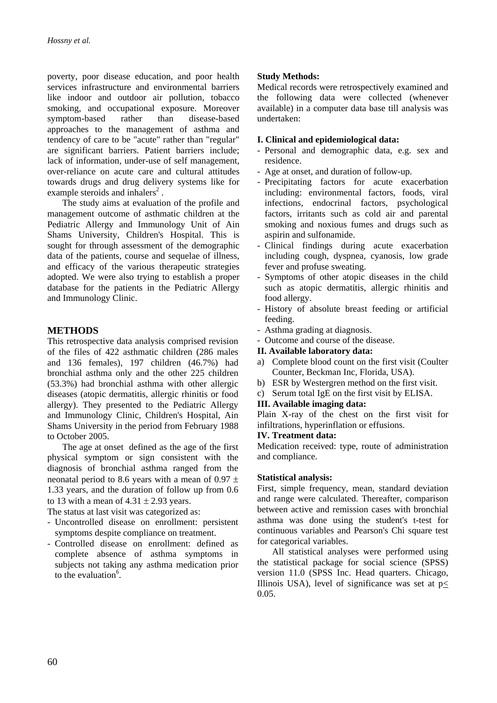poverty, poor disease education, and poor health services infrastructure and environmental barriers like indoor and outdoor air pollution, tobacco smoking, and occupational exposure. Moreover symptom-based rather than disease-based approaches to the management of asthma and tendency of care to be "acute" rather than "regular" are significant barriers. Patient barriers include; lack of information, under-use of self management, over-reliance on acute care and cultural attitudes towards drugs and drug delivery systems like for example steroids and inhalers<sup>2</sup>.

The study aims at evaluation of the profile and management outcome of asthmatic children at the Pediatric Allergy and Immunology Unit of Ain Shams University, Children's Hospital. This is sought for through assessment of the demographic data of the patients, course and sequelae of illness, and efficacy of the various therapeutic strategies adopted. We were also trying to establish a proper database for the patients in the Pediatric Allergy and Immunology Clinic.

## **METHODS**

This retrospective data analysis comprised revision of the files of 422 asthmatic children (286 males and 136 females), 197 children (46.7%) had bronchial asthma only and the other 225 children (53.3%) had bronchial asthma with other allergic diseases (atopic dermatitis, allergic rhinitis or food allergy). They presented to the Pediatric Allergy and Immunology Clinic, Children's Hospital, Ain Shams University in the period from February 1988 to October 2005.

The age at onset defined as the age of the first physical symptom or sign consistent with the diagnosis of bronchial asthma ranged from the neonatal period to 8.6 years with a mean of 0.97  $\pm$ 1.33 years, and the duration of follow up from 0.6 to 13 with a mean of  $4.31 \pm 2.93$  years.

The status at last visit was categorized as:

- Uncontrolled disease on enrollment: persistent symptoms despite compliance on treatment.
- Controlled disease on enrollment: defined as complete absence of asthma symptoms in subjects not taking any asthma medication prior to the evaluation $6$ .

## **Study Methods:**

Medical records were retrospectively examined and the following data were collected (whenever available) in a computer data base till analysis was undertaken:

#### **I. Clinical and epidemiological data:**

- Personal and demographic data, e.g. sex and residence.
- Age at onset, and duration of follow-up.
- Precipitating factors for acute exacerbation including: environmental factors, foods, viral infections, endocrinal factors, psychological factors, irritants such as cold air and parental smoking and noxious fumes and drugs such as aspirin and sulfonamide.
- Clinical findings during acute exacerbation including cough, dyspnea, cyanosis, low grade fever and profuse sweating.
- Symptoms of other atopic diseases in the child such as atopic dermatitis, allergic rhinitis and food allergy.
- History of absolute breast feeding or artificial feeding.
- Asthma grading at diagnosis.
- Outcome and course of the disease.

#### **II. Available laboratory data:**

- a) Complete blood count on the first visit (Coulter Counter, Beckman Inc, Florida, USA).
- b) ESR by Westergren method on the first visit.
- c) Serum total IgE on the first visit by ELISA.

#### **III. Available imaging data:**

Plain X-ray of the chest on the first visit for infiltrations, hyperinflation or effusions.

#### **IV. Treatment data:**

Medication received: type, route of administration and compliance.

#### **Statistical analysis:**

First, simple frequency, mean, standard deviation and range were calculated. Thereafter, comparison between active and remission cases with bronchial asthma was done using the student's t-test for continuous variables and Pearson's Chi square test for categorical variables.

All statistical analyses were performed using the statistical package for social science (SPSS) version 11.0 (SPSS Inc. Head quarters. Chicago, Illinois USA), level of significance was set at  $p$ < 0.05.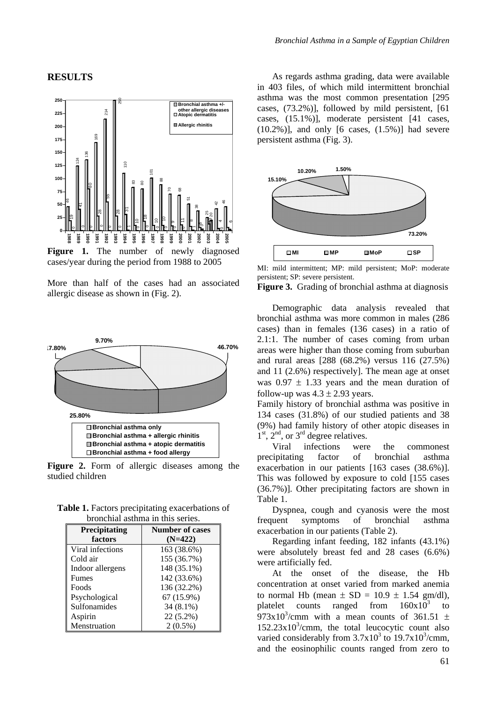#### **RESULTS**



Figure 1. The number of newly diagnosed cases/year during the period from 1988 to 2005

More than half of the cases had an associated allergic disease as shown in (Fig. 2).



**Figure 2.** Form of allergic diseases among the studied children

**Table 1.** Factors precipitating exacerbations of bronchial asthma in this series.

| Precipitating    | <b>Number of cases</b> |  |
|------------------|------------------------|--|
| factors          | $(N=422)$              |  |
| Viral infections | 163 (38.6%)            |  |
| Cold air         | 155 (36.7%)            |  |
| Indoor allergens | 148 (35.1%)            |  |
| <b>Fumes</b>     | 142 (33.6%)            |  |
| Foods            | 136 (32.2%)            |  |
| Psychological    | 67 (15.9%)             |  |
| Sulfonamides     | 34 (8.1%)              |  |
| Aspirin          | 22 (5.2%)              |  |
| Menstruation     | $2(0.5\%)$             |  |

As regards asthma grading, data were available in 403 files, of which mild intermittent bronchial asthma was the most common presentation [295 cases, (73.2%)], followed by mild persistent, [61 cases, (15.1%)], moderate persistent [41 cases,  $(10.2\%)$ ], and only [6 cases,  $(1.5\%)$ ] had severe persistent asthma (Fig. 3).



MI: mild intermittent; MP: mild persistent; MoP: moderate persistent; SP: severe persistent.

**Figure 3.** Grading of bronchial asthma at diagnosis

Demographic data analysis revealed that bronchial asthma was more common in males (286 cases) than in females (136 cases) in a ratio of 2.1:1. The number of cases coming from urban areas were higher than those coming from suburban and rural areas [288 (68.2%) versus 116 (27.5%) and 11 (2.6%) respectively]. The mean age at onset was  $0.97 \pm 1.33$  years and the mean duration of follow-up was  $4.3 \pm 2.93$  years.

Family history of bronchial asthma was positive in 134 cases (31.8%) of our studied patients and 38 (9%) had family history of other atopic diseases in  $1<sup>st</sup>$ ,  $2<sup>nd</sup>$ , or  $3<sup>rd</sup>$  degree relatives.

Viral infections were the commonest precipitating factor of bronchial asthma exacerbation in our patients [163 cases (38.6%)]. This was followed by exposure to cold [155 cases (36.7%)]. Other precipitating factors are shown in Table 1.

Dyspnea, cough and cyanosis were the most frequent symptoms of bronchial asthma exacerbation in our patients (Table 2).

Regarding infant feeding, 182 infants (43.1%) were absolutely breast fed and 28 cases (6.6%) were artificially fed.

At the onset of the disease, the Hb concentration at onset varied from marked anemia to normal Hb (mean  $\pm$  SD = 10.9  $\pm$  1.54 gm/dl), platelet counts ranged from  $160x10^3$  to 973x10<sup>3</sup>/cmm with a mean counts of 361.51  $\pm$  $152.23 \times 10^3$ /cmm, the total leucocytic count also varied considerably from  $3.7 \times 10^3$  to  $19.7 \times 10^3$ /cmm, and the eosinophilic counts ranged from zero to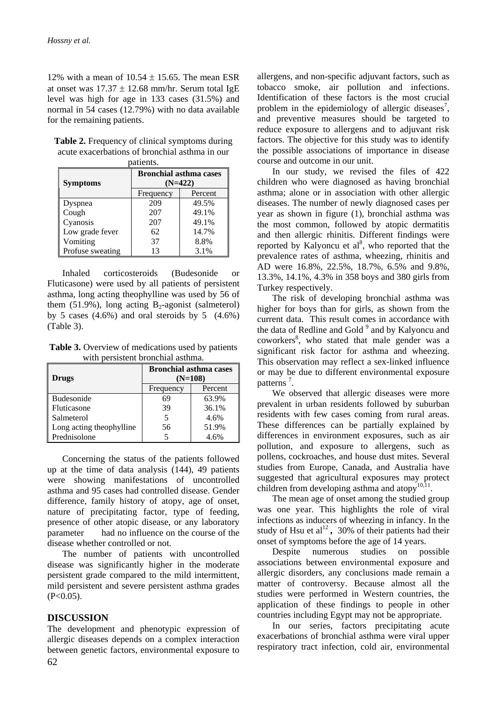12% with a mean of  $10.54 \pm 15.65$ . The mean ESR at onset was  $17.37 \pm 12.68$  mm/hr. Serum total IgE level was high for age in 133 cases (31.5%) and normal in 54 cases (12.79%) with no data available for the remaining patients.

| <b>Table 2.</b> Frequency of clinical symptoms during |
|-------------------------------------------------------|
| acute exacerbations of bronchial asthma in our        |
| $n \cdot k \cdot n$                                   |

| лансніх.         |                                            |         |  |  |
|------------------|--------------------------------------------|---------|--|--|
| <b>Symptoms</b>  | <b>Bronchial asthma cases</b><br>$(N=422)$ |         |  |  |
|                  | Frequency                                  | Percent |  |  |
| Dyspnea          | 209                                        | 49.5%   |  |  |
| Cough            | 207                                        | 49.1%   |  |  |
| Cyanosis         | 207                                        | 49.1%   |  |  |
| Low grade fever  | 62                                         | 14.7%   |  |  |
| Vomiting         | 37                                         | 8.8%    |  |  |
| Profuse sweating | 13                                         | 3.1%    |  |  |

Inhaled corticosteroids (Budesonide or Fluticasone) were used by all patients of persistent asthma, long acting theophylline was used by 56 of them (51.9%), long acting  $B_2$ -agonist (salmeterol) by 5 cases  $(4.6\%)$  and oral steroids by 5  $(4.6\%)$ (Table 3).

**Table 3.** Overview of medications used by patients with persistent bronchial asthma.

| <b>Drugs</b>             | <b>Bronchial asthma cases</b><br>$(N=108)$ |         |
|--------------------------|--------------------------------------------|---------|
|                          | Frequency                                  | Percent |
| Budesonide               | 69                                         | 63.9%   |
| Fluticasone              | 39                                         | 36.1%   |
| Salmeterol               |                                            | 4.6%    |
| Long acting theophylline | 56                                         | 51.9%   |
| Prednisolone             |                                            | 4.6%    |

Concerning the status of the patients followed up at the time of data analysis (144), 49 patients were showing manifestations of uncontrolled asthma and 95 cases had controlled disease. Gender difference, family history of atopy, age of onset, nature of precipitating factor, type of feeding, presence of other atopic disease, or any laboratory parameter had no influence on the course of the disease whether controlled or not.

The number of patients with uncontrolled disease was significantly higher in the moderate persistent grade compared to the mild intermittent, mild persistent and severe persistent asthma grades  $(P<0.05)$ .

## **DISCUSSION**

The development and phenotypic expression of allergic diseases depends on a complex interaction between genetic factors, environmental exposure to

allergens, and non-specific adjuvant factors, such as tobacco smoke, air pollution and infections. Identification of these factors is the most crucial problem in the epidemiology of allergic diseases<sup>7</sup>, and preventive measures should be targeted to reduce exposure to allergens and to adjuvant risk factors. The objective for this study was to identify the possible associations of importance in disease course and outcome in our unit.

In our study, we revised the files of 422 children who were diagnosed as having bronchial asthma; alone or in association with other allergic diseases. The number of newly diagnosed cases per year as shown in figure (1), bronchial asthma was the most common, followed by atopic dermatitis and then allergic rhinitis. Different findings were reported by Kalyoncu et  $al<sup>8</sup>$ , who reported that the prevalence rates of asthma, wheezing, rhinitis and AD were 16.8%, 22.5%, 18.7%, 6.5% and 9.8%, 13.3%, 14.1%, 4.3% in 358 boys and 380 girls from Turkey respectively.

The risk of developing bronchial asthma was higher for boys than for girls, as shown from the current data. This result comes in accordance with the data of Redline and Gold<sup>9</sup> and by Kalyoncu and coworkers<sup>8</sup>, who stated that male gender was a significant risk factor for asthma and wheezing. This observation may reflect a sex-linked influence or may be due to different environmental exposure patterns<sup>7</sup>.

We observed that allergic diseases were more prevalent in urban residents followed by suburban residents with few cases coming from rural areas. These differences can be partially explained by differences in environment exposures, such as air pollution, and exposure to allergens, such as pollens, cockroaches, and house dust mites. Several studies from Europe, Canada, and Australia have suggested that agricultural exposures may protect children from developing asthma and atopy $^{10,11}$ .

The mean age of onset among the studied group was one year. This highlights the role of viral infections as inducers of wheezing in infancy. In the study of Hsu et al<sup>12</sup>, 30% of their patients had their onset of symptoms before the age of 14 years.

Despite numerous studies on possible associations between environmental exposure and allergic disorders, any conclusions made remain a matter of controversy. Because almost all the studies were performed in Western countries, the application of these findings to people in other countries including Egypt may not be appropriate.

In our series, factors precipitating acute exacerbations of bronchial asthma were viral upper respiratory tract infection, cold air, environmental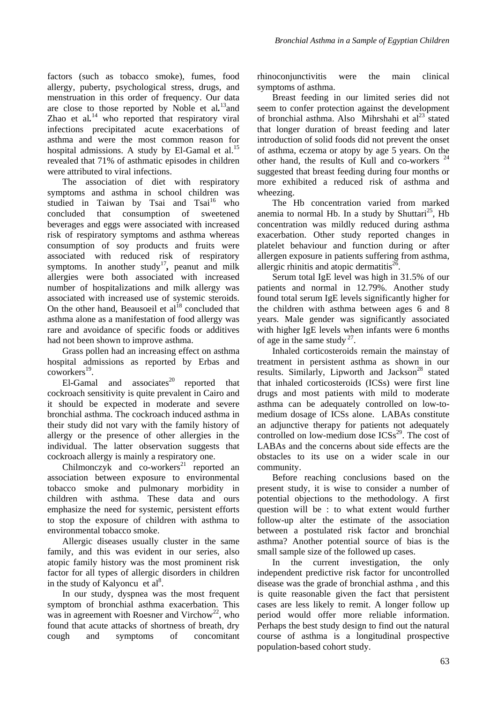factors (such as tobacco smoke), fumes, food allergy, puberty, psychological stress, drugs, and menstruation in this order of frequency. Our data are close to those reported by Noble et al*.* 13and Zhao et al.<sup>14</sup> who reported that respiratory viral infections precipitated acute exacerbations of asthma and were the most common reason for hospital admissions. A study by El-Gamal et al. $^{15}$ revealed that 71% of asthmatic episodes in children were attributed to viral infections.

The association of diet with respiratory symptoms and asthma in school children was studied in Taiwan by Tsai and Tsai<sup>16</sup> who concluded that consumption of sweetened beverages and eggs were associated with increased risk of respiratory symptoms and asthma whereas consumption of soy products and fruits were associated with reduced risk of respiratory symptoms. In another study<sup>17</sup>, peanut and milk allergies were both associated with increased number of hospitalizations and milk allergy was associated with increased use of systemic steroids. On the other hand, Beausoeil et  $al^{18}$  concluded that asthma alone as a manifestation of food allergy was rare and avoidance of specific foods or additives had not been shown to improve asthma.

Grass pollen had an increasing effect on asthma hospital admissions as reported by Erbas and  $convorkers<sup>19</sup>$ .

El-Gamal and associates $^{20}$  reported that cockroach sensitivity is quite prevalent in Cairo and it should be expected in moderate and severe bronchial asthma. The cockroach induced asthma in their study did not vary with the family history of allergy or the presence of other allergies in the individual. The latter observation suggests that cockroach allergy is mainly a respiratory one.

Chilmonczyk and co-workers<sup>21</sup> reported an association between exposure to environmental tobacco smoke and pulmonary morbidity in children with asthma. These data and ours emphasize the need for systemic, persistent efforts to stop the exposure of children with asthma to environmental tobacco smoke.

Allergic diseases usually cluster in the same family, and this was evident in our series, also atopic family history was the most prominent risk factor for all types of allergic disorders in children in the study of Kalyoncu et  $al^8$ .

In our study, dyspnea was the most frequent symptom of bronchial asthma exacerbation. This was in agreement with Roesner and Virchow<sup>22</sup>, who found that acute attacks of shortness of breath, dry cough and symptoms of concomitant rhinoconjunctivitis were the main clinical symptoms of asthma.

Breast feeding in our limited series did not seem to confer protection against the development of bronchial asthma. Also Mihrshahi et  $al<sup>23</sup>$  stated that longer duration of breast feeding and later introduction of solid foods did not prevent the onset of asthma, eczema or atopy by age 5 years. On the other hand, the results of Kull and co-workers  $24$ suggested that breast feeding during four months or more exhibited a reduced risk of asthma and wheezing.

The Hb concentration varied from marked anemia to normal Hb. In a study by Shuttari<sup>25</sup>, Hb concentration was mildly reduced during asthma exacerbation. Other study reported changes in platelet behaviour and function during or after allergen exposure in patients suffering from asthma, allergic rhinitis and atopic dermatitis $^{26}$ .

Serum total IgE level was high in 31.5% of our patients and normal in 12.79%. Another study found total serum IgE levels significantly higher for the children with asthma between ages 6 and 8 years. Male gender was significantly associated with higher IgE levels when infants were 6 months of age in the same study  $2^7$ .

Inhaled corticosteroids remain the mainstay of treatment in persistent asthma as shown in our results. Similarly, Lipworth and Jackson<sup>28</sup> stated that inhaled corticosteroids (ICSs) were first line drugs and most patients with mild to moderate asthma can be adequately controlled on low-tomedium dosage of ICSs alone. LABAs constitute an adjunctive therapy for patients not adequately controlled on low-medium dose  $ICSS<sup>29</sup>$ . The cost of LABAs and the concerns about side effects are the obstacles to its use on a wider scale in our community.

Before reaching conclusions based on the present study, it is wise to consider a number of potential objections to the methodology. A first question will be : to what extent would further follow-up alter the estimate of the association between a postulated risk factor and bronchial asthma? Another potential source of bias is the small sample size of the followed up cases.

In the current investigation, the only independent predictive risk factor for uncontrolled disease was the grade of bronchial asthma , and this is quite reasonable given the fact that persistent cases are less likely to remit. A longer follow up period would offer more reliable information. Perhaps the best study design to find out the natural course of asthma is a longitudinal prospective population-based cohort study.